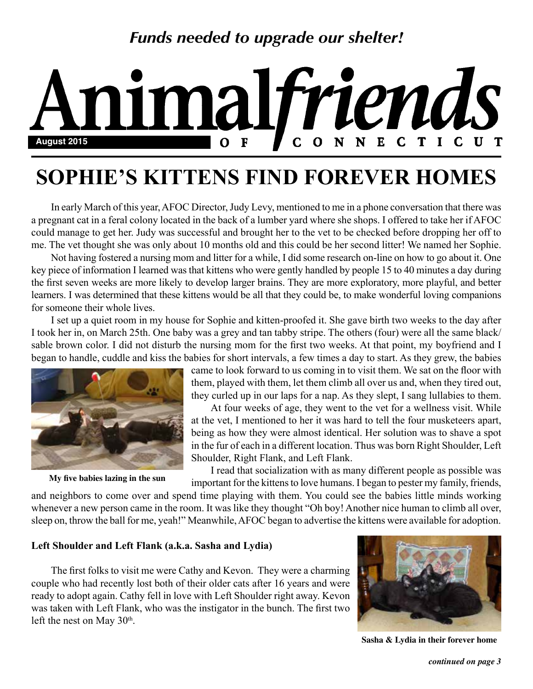## *Funds needed to upgrade our shelter!*

### malfriends N **August 2015**  $\mathbf{F}$  $\mathbf C$ E N

# **SOPHIE'S KITTENS FIND FOREVER HOMES**

In early March of this year, AFOC Director, Judy Levy, mentioned to me in a phone conversation that there was a pregnant cat in a feral colony located in the back of a lumber yard where she shops. I offered to take her if AFOC could manage to get her. Judy was successful and brought her to the vet to be checked before dropping her off to me. The vet thought she was only about 10 months old and this could be her second litter! We named her Sophie.

Not having fostered a nursing mom and litter for a while, I did some research on-line on how to go about it. One key piece of information I learned was that kittens who were gently handled by people 15 to 40 minutes a day during the first seven weeks are more likely to develop larger brains. They are more exploratory, more playful, and better learners. I was determined that these kittens would be all that they could be, to make wonderful loving companions for someone their whole lives.

I set up a quiet room in my house for Sophie and kitten-proofed it. She gave birth two weeks to the day after I took her in, on March 25th. One baby was a grey and tan tabby stripe. The others (four) were all the same black/ sable brown color. I did not disturb the nursing mom for the first two weeks. At that point, my boyfriend and I began to handle, cuddle and kiss the babies for short intervals, a few times a day to start. As they grew, the babies



**My five babies lazing in the sun**

came to look forward to us coming in to visit them. We sat on the floor with them, played with them, let them climb all over us and, when they tired out, they curled up in our laps for a nap. As they slept, I sang lullabies to them.

At four weeks of age, they went to the vet for a wellness visit. While at the vet, I mentioned to her it was hard to tell the four musketeers apart, being as how they were almost identical. Her solution was to shave a spot in the fur of each in a different location. Thus was born Right Shoulder, Left Shoulder, Right Flank, and Left Flank.

I read that socialization with as many different people as possible was important for the kittens to love humans. I began to pester my family, friends,

and neighbors to come over and spend time playing with them. You could see the babies little minds working whenever a new person came in the room. It was like they thought "Oh boy! Another nice human to climb all over, sleep on, throw the ball for me, yeah!" Meanwhile, AFOC began to advertise the kittens were available for adoption.

#### **Left Shoulder and Left Flank (a.k.a. Sasha and Lydia)**

The first folks to visit me were Cathy and Kevon. They were a charming couple who had recently lost both of their older cats after 16 years and were ready to adopt again. Cathy fell in love with Left Shoulder right away. Kevon was taken with Left Flank, who was the instigator in the bunch. The first two left the nest on May 30<sup>th</sup>.



 **Sasha & Lydia in their forever home**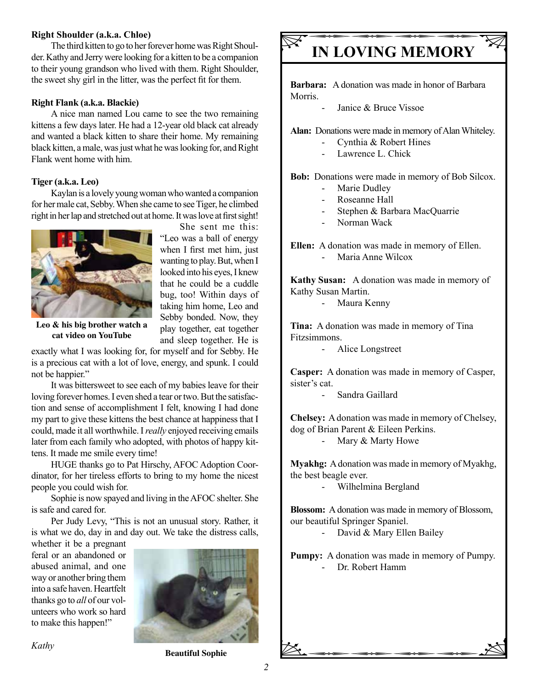#### **Right Shoulder (a.k.a. Chloe)**

The third kitten to go to her forever home was Right Shoulder. Kathy and Jerry were looking for a kitten to be a companion to their young grandson who lived with them. Right Shoulder, the sweet shy girl in the litter, was the perfect fit for them.

#### **Right Flank (a.k.a. Blackie)**

A nice man named Lou came to see the two remaining kittens a few days later. He had a 12-year old black cat already and wanted a black kitten to share their home. My remaining black kitten, a male, was just what he was looking for, and Right Flank went home with him.

#### **Tiger (a.k.a. Leo)**

Kaylan is a lovely young woman who wanted a companion for her male cat, Sebby. When she came to see Tiger, he climbed right in her lap and stretched out at home. It was love at first sight!

> She sent me this: "Leo was a ball of energy when I first met him, just wanting to play. But, when I looked into his eyes, I knew that he could be a cuddle bug, too! Within days of taking him home, Leo and Sebby bonded. Now, they play together, eat together and sleep together. He is



**Leo & his big brother watch a cat video on YouTube**

exactly what I was looking for, for myself and for Sebby. He is a precious cat with a lot of love, energy, and spunk. I could not be happier."

It was bittersweet to see each of my babies leave for their loving forever homes. I even shed a tear or two. But the satisfaction and sense of accomplishment I felt, knowing I had done my part to give these kittens the best chance at happiness that I could, made it all worthwhile. I *really* enjoyed receiving emails later from each family who adopted, with photos of happy kittens. It made me smile every time!

HUGE thanks go to Pat Hirschy, AFOC Adoption Coordinator, for her tireless efforts to bring to my home the nicest people you could wish for.

Sophie is now spayed and living in the AFOC shelter. She is safe and cared for.

Per Judy Levy, "This is not an unusual story. Rather, it is what we do, day in and day out. We take the distress calls,

whether it be a pregnant feral or an abandoned or abused animal, and one way or another bring them into a safe haven. Heartfelt thanks go to *all* of our volunteers who work so hard to make this happen!"



#### *Kathy*

## **IN LOVING MEMORY**

**Barbara:** A donation was made in honor of Barbara Morris.

Janice & Bruce Vissoe

**Alan:** Donations were made in memory of Alan Whiteley.

- Cynthia & Robert Hines
- Lawrence L. Chick

**Bob:** Donations were made in memory of Bob Silcox.

- Marie Dudley
- Roseanne Hall
- Stephen & Barbara MacQuarrie
- Norman Wack

**Ellen:** A donation was made in memory of Ellen. Maria Anne Wilcox

**Kathy Susan:** A donation was made in memory of Kathy Susan Martin.

- Maura Kenny

**Tina:** A donation was made in memory of Tina Fitzsimmons.

- Alice Longstreet

**Casper:** A donation was made in memory of Casper, sister's cat.

- Sandra Gaillard

**Chelsey:** A donation was made in memory of Chelsey, dog of Brian Parent & Eileen Perkins.

Mary & Marty Howe

**Myakhg:** A donation was made in memory of Myakhg, the best beagle ever.

- Wilhelmina Bergland

**Blossom:** A donation was made in memory of Blossom, our beautiful Springer Spaniel.

- David & Mary Ellen Bailey

**Pumpy:** A donation was made in memory of Pumpy.

- Dr. Robert Hamm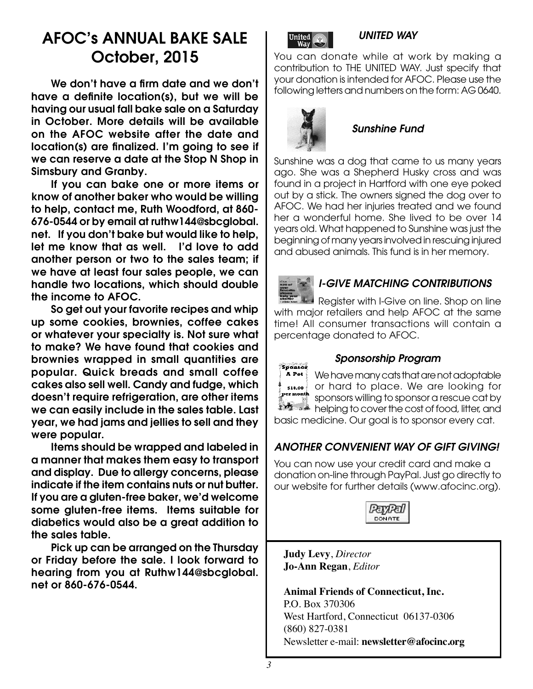## AFOC's ANNUAL BAKE SALE October, 2015

We don't have a firm date and we don't have a definite location(s), but we will be having our usual fall bake sale on a Saturday in October. More details will be available on the AFOC website after the date and location(s) are finalized. I'm going to see if we can reserve a date at the Stop N Shop in Simsbury and Granby.

If you can bake one or more items or know of another baker who would be willing to help, contact me, Ruth Woodford, at 860- 676-0544 or by email at ruthw144@sbcglobal. net. If you don't bake but would like to help, let me know that as well. I'd love to add another person or two to the sales team; if we have at least four sales people, we can handle two locations, which should double the income to AFOC.

So get out your favorite recipes and whip up some cookies, brownies, coffee cakes or whatever your specialty is. Not sure what to make? We have found that cookies and brownies wrapped in small quantities are popular. Quick breads and small coffee cakes also sell well. Candy and fudge, which doesn't require refrigeration, are other items we can easily include in the sales table. Last year, we had jams and jellies to sell and they were popular.

Items should be wrapped and labeled in a manner that makes them easy to transport and display. Due to allergy concerns, please indicate if the item contains nuts or nut butter. If you are a gluten-free baker, we'd welcome some gluten-free items. Items suitable for diabetics would also be a great addition to the sales table.

Pick up can be arranged on the Thursday or Friday before the sale. I look forward to hearing from you at Ruthw144@sbcglobal. net or 860-676-0544.



### *UNITED WAY*

You can donate while at work by making a contribution to THE UNITED WAY. Just specify that your donation is intended for AFOC. Please use the following letters and numbers on the form: AG 0640.



## *Sunshine Fund*

Sunshine was a dog that came to us many years ago. She was a Shepherd Husky cross and was found in a project in Hartford with one eye poked out by a stick. The owners signed the dog over to AFOC. We had her injuries treated and we found her a wonderful home. She lived to be over 14 years old. What happened to Sunshine was just the beginning of many years involved in rescuing injured and abused animals. This fund is in her memory.



### *I-GIVE MATCHING CONTRIBUTIONS*

Register with I-Give on line. Shop on line with major retailers and help AFOC at the same time! All consumer transactions will contain a percentage donated to AFOC.



#### *Sponsorship Program*

We have many cats that are not adoptable or hard to place. We are looking for sponsors willing to sponsor a rescue cat by helping to cover the cost of food, litter, and basic medicine. Our goal is to sponsor every cat.

### *ANOTHER CONVENIENT WAY OF GIFT GIVING!*

You can now use your credit card and make a donation on-line through PayPal. Just go directly to our website for further details (www.afocinc.org).



**Judy Levy**, *Director* **Jo-Ann Regan**, *Editor*

**Animal Friends of Connecticut, Inc.** P.O. Box 370306 West Hartford, Connecticut 06137-0306 (860) 827-0381 Newsletter e-mail: **newsletter@afocinc.org**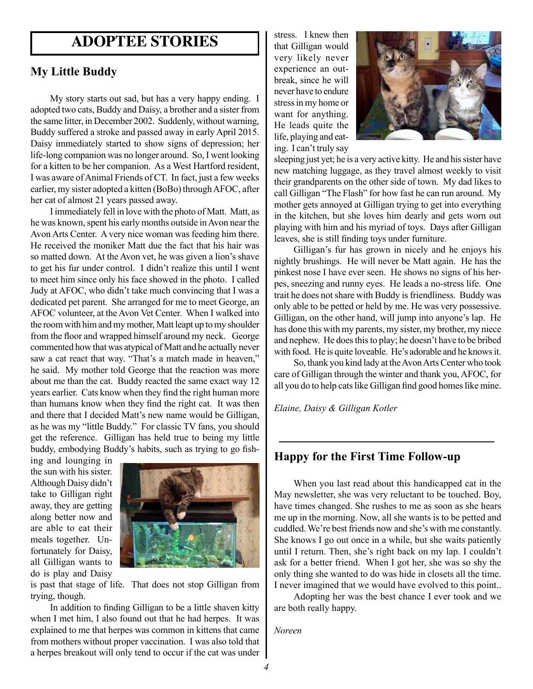## **ADOPTEE STORIES**

### **My Little Buddy**

My story starts out sad, but has a very happy ending. I adopted two cats, Buddy and Daisy, a brother and a sister from the same litter, in December 2002. Suddenly, without warning, Buddy suffered a stroke and passed away in early April 2015. Daisy immediately started to show signs of depression; her life-long companion was no longer around. So, I went looking for a kitten to be her companion. As a West Hartford resident, I was aware of Animal Friends of CT. In fact, just a few weeks earlier, my sister adopted a kitten (BoBo) through AFOC, after her cat of almost 21 years passed away.

I immediately fell in love with the photo of Matt. Matt, as he was known, spent his early months outside in Avon near the Avon Arts Center. A very nice woman was feeding him there. He received the moniker Matt due the fact that his hair was so matted down. At the Avon vet, he was given a lion's shave to get his fur under control. I didn't realize this until I went to meet him since only his face showed in the photo. I called Judy at AFOC, who didn't take much convincing that I was a dedicated pet parent. She arranged for me to meet George, an AFOC volunteer, at the Avon Vet Center. When I walked into the room with him and my mother, Matt leapt up to my shoulder from the floor and wrapped himself around my neck. George commented how that was atypical of Matt and he actually never saw a cat react that way. "That's a match made in heaven," he said. My mother told George that the reaction was more about me than the cat. Buddy reacted the same exact way 12 years earlier. Cats know when they find the right human more than humans know when they find the right cat. It was then and there that I decided Matt's new name would be Gilligan, as he was my "little Buddy." For classic TV fans, you should get the reference. Gilligan has held true to being my little buddy, embodying Buddy's habits, such as trying to go fish-

ing and lounging in the sun with his sister. Although Daisy didn't take to Gilligan right away, they are getting along better now and are able to eat their meals together. Unfortunately for Daisy, all Gilligan wants to do is play and Daisy



is past that stage of life. That does not stop Gilligan from trying, though.

In addition to finding Gilligan to be a little shaven kitty when I met him, I also found out that he had herpes. It was explained to me that herpes was common in kittens that came from mothers without proper vaccination. I was also told that a herpes breakout will only tend to occur if the cat was under stress. I knew then that Gilligan would very likely never experience an outbreak, since he will never have to endure stress in my home or want for anything. He leads quite the life, playing and eating. I can't truly say



sleeping just yet; he is a very active kitty. He and his sister have new matching luggage, as they travel almost weekly to visit their grandparents on the other side of town. My dad likes to call Gilligan "The Flash" for how fast he can run around. My mother gets annoyed at Gilligan trying to get into everything in the kitchen, but she loves him dearly and gets worn out playing with him and his myriad of toys. Days after Gilligan leaves, she is still finding toys under furniture.

Gilligan's fur has grown in nicely and he enjoys his nightly brushings. He will never be Matt again. He has the pinkest nose I have ever seen. He shows no signs of his herpes, sneezing and runny eyes. He leads a no-stress life. One trait he does not share with Buddy is friendliness. Buddy was only able to be petted or held by me. He was very possessive. Gilligan, on the other hand, will jump into anyone's lap. He has done this with my parents, my sister, my brother, my niece and nephew. He does this to play; he doesn't have to be bribed with food. He is quite loveable. He's adorable and he knows it.

So, thank you kind lady at the Avon Arts Center who took care of Gilligan through the winter and thank you, AFOC, for all you do to help cats like Gilligan find good homes like mine.

*Elaine, Daisy & Gilligan Kotler*

### **Happy for the First Time Follow-up**

When you last read about this handicapped cat in the May newsletter, she was very reluctant to be touched. Boy, have times changed. She rushes to me as soon as she hears me up in the morning. Now, all she wants is to be petted and cuddled. We're best friends now and she's with me constantly. She knows I go out once in a while, but she waits patiently until I return. Then, she's right back on my lap. I couldn't ask for a better friend. When I got her, she was so shy the only thing she wanted to do was hide in closets all the time. I never imagined that we would have evolved to this point..

Adopting her was the best chance I ever took and we are both really happy.

*Noreen*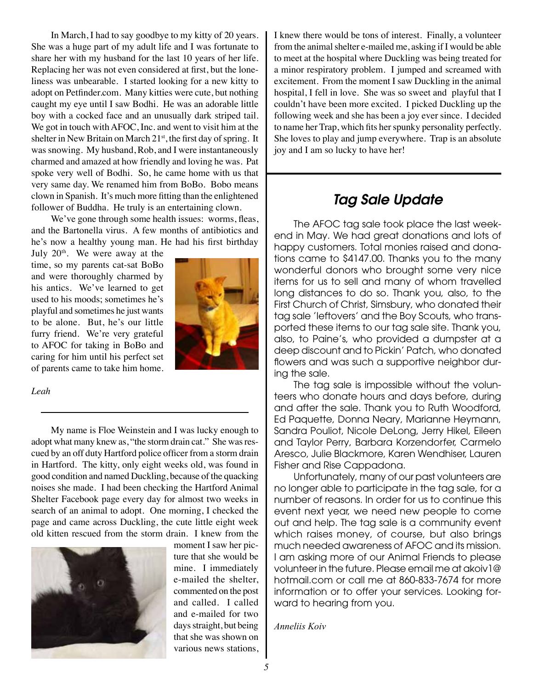In March, I had to say goodbye to my kitty of 20 years. She was a huge part of my adult life and I was fortunate to share her with my husband for the last 10 years of her life. Replacing her was not even considered at first, but the loneliness was unbearable. I started looking for a new kitty to adopt on Petfinder.com. Many kitties were cute, but nothing caught my eye until I saw Bodhi. He was an adorable little boy with a cocked face and an unusually dark striped tail. We got in touch with AFOC, Inc. and went to visit him at the shelter in New Britain on March  $21<sup>st</sup>$ , the first day of spring. It was snowing. My husband, Rob, and I were instantaneously charmed and amazed at how friendly and loving he was. Pat spoke very well of Bodhi. So, he came home with us that very same day. We renamed him from BoBo. Bobo means clown in Spanish. It's much more fitting than the enlightened follower of Buddha. He truly is an entertaining clown.

We've gone through some health issues: worms, fleas, and the Bartonella virus. A few months of antibiotics and he's now a healthy young man. He had his first birthday

July  $20<sup>th</sup>$ . We were away at the time, so my parents cat-sat BoBo and were thoroughly charmed by his antics. We've learned to get used to his moods; sometimes he's playful and sometimes he just wants to be alone. But, he's our little furry friend. We're very grateful to AFOC for taking in BoBo and caring for him until his perfect set of parents came to take him home.



#### *Leah*

My name is Floe Weinstein and I was lucky enough to adopt what many knew as, "the storm drain cat." She was rescued by an off duty Hartford police officer from a storm drain in Hartford. The kitty, only eight weeks old, was found in good condition and named Duckling, because of the quacking noises she made. I had been checking the Hartford Animal Shelter Facebook page every day for almost two weeks in search of an animal to adopt. One morning, I checked the page and came across Duckling, the cute little eight week old kitten rescued from the storm drain. I knew from the



moment I saw her picture that she would be mine. I immediately e-mailed the shelter, commented on the post and called. I called and e-mailed for two days straight, but being that she was shown on various news stations,

I knew there would be tons of interest. Finally, a volunteer from the animal shelter e-mailed me, asking if I would be able to meet at the hospital where Duckling was being treated for a minor respiratory problem. I jumped and screamed with excitement. From the moment I saw Duckling in the animal hospital, I fell in love. She was so sweet and playful that I couldn't have been more excited. I picked Duckling up the following week and she has been a joy ever since. I decided to name her Trap, which fits her spunky personality perfectly. She loves to play and jump everywhere. Trap is an absolute joy and I am so lucky to have her!

## *Tag Sale Update*

The AFOC tag sale took place the last weekend in May. We had great donations and lots of happy customers. Total monies raised and donations came to \$4147.00. Thanks you to the many wonderful donors who brought some very nice items for us to sell and many of whom travelled long distances to do so. Thank you, also, to the First Church of Christ, Simsbury, who donated their tag sale 'leftovers' and the Boy Scouts, who transported these items to our tag sale site. Thank you, also, to Paine's, who provided a dumpster at a deep discount and to Pickin' Patch, who donated flowers and was such a supportive neighbor during the sale.

The tag sale is impossible without the volunteers who donate hours and days before, during and after the sale. Thank you to Ruth Woodford, Ed Paquette, Donna Neary, Marianne Heymann, Sandra Pouliot, Nicole DeLong, Jerry Hikel, Eileen and Taylor Perry, Barbara Korzendorfer, Carmelo Aresco, Julie Blackmore, Karen Wendhiser, Lauren Fisher and Rise Cappadona.

Unfortunately, many of our past volunteers are no longer able to participate in the tag sale, for a number of reasons. In order for us to continue this event next year, we need new people to come out and help. The tag sale is a community event which raises money, of course, but also brings much needed awareness of AFOC and its mission. I am asking more of our Animal Friends to please volunteer in the future. Please email me at akoiv1@ hotmail.com or call me at 860-833-7674 for more information or to offer your services. Looking forward to hearing from you.

*Anneliis Koiv*